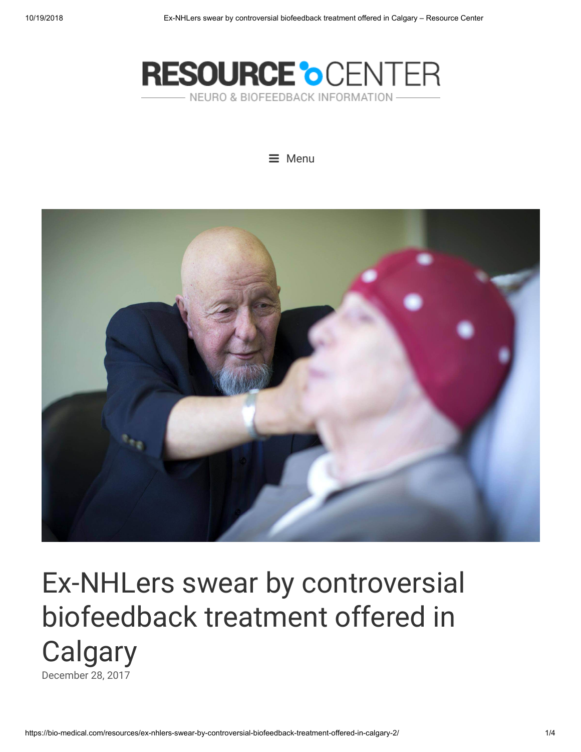





# Ex-NHLers swear by controversial biofeedback treatment offered in **Calgary** [December](https://bio-medical.com/resources/ex-nhlers-swear-by-controversial-biofeedback-treatment-offered-in-calgary-2/) 28, 2017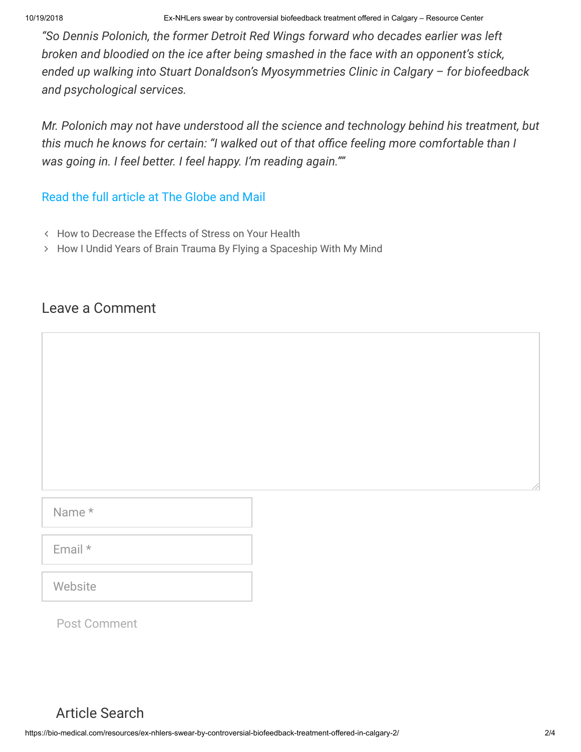10/19/2018 Ex-NHLers swear by controversial biofeedback treatment offered in Calgary – Resource Center

*"So Dennis Polonich, the former Detroit Red Wings forward who decades earlier was left broken and bloodied on the ice after being smashed in the face with an opponent's stick, ended up walking into Stuart Donaldson's Myosymmetries Clinic in Calgary – for biofeedback and psychological services.*

*Mr. Polonich may not have understood all the science and technology behind his treatment, but* this much he knows for certain: "I walked out of that office feeling more comfortable than I *was going in. I feel better. I feel happy. I'm reading again.""*

### [Read the full article at The Globe and Mail](https://www.theglobeandmail.com/news/alberta/ex-nhlers-swear-by-controversial-biofeedback-treatment-offered-in-calgary/article35197571/)

- How to [Decrease the Effects](https://bio-medical.com/resources/how-to-decrease-the-effects-of-stress-on-your-health/) of Stress on Your Health
- How I Undid Years of [Brain Trauma](https://bio-medical.com/resources/how-i-undid-years-of-brain-trauma-by-flying-a-spaceship-with-my-mind/) By Flying a Spaceship With My Mind

## Leave a Comment

Name \*

Email \*

**Website** 

Post Comment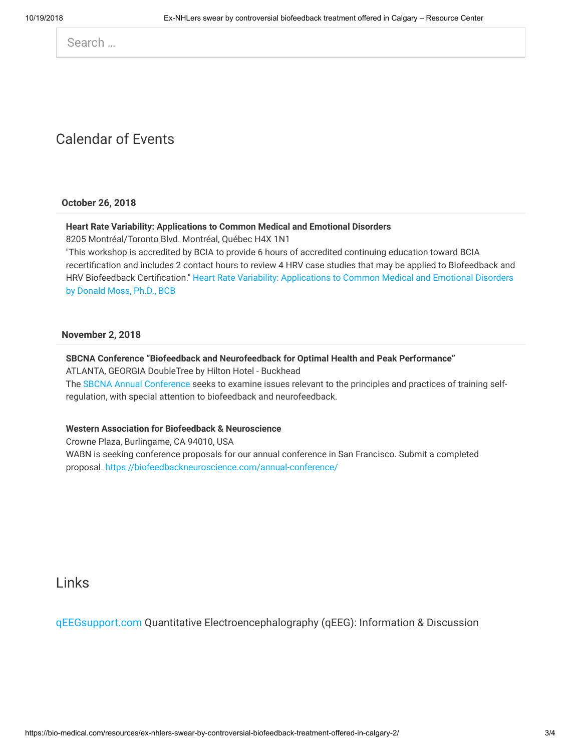Search …

## Calendar of Events

**October 26, 2018**

#### **Heart Rate Variability: Applications to Common Medical and Emotional Disorders**

8205 Montréal/Toronto Blvd. Montréal, Québec H4X 1N1

"This workshop is accredited by BCIA to provide 6 hours of accredited continuing education toward BCIA recertification and includes 2 contact hours to review 4 HRV case studies that may be applied to Biofeedback and HRV Biofeedback [Certification." Heart](http://thoughttechnology.com/index.php/workshops) Rate Variability: Applications to Common Medical and Emotional Disorders by Donald Moss, Ph.D., BCB

#### **November 2, 2018**

#### **SBCNA Conference "Biofeedback and Neurofeedback for Optimal Health and Peak Performance"**

ATLANTA, GEORGIA DoubleTree by Hilton Hotel - Buckhead

The SBCNA Annual [Conference s](http://sebiofeedback.org/2018-SBCNA-Conference)eeks to examine issues relevant to the principles and practices of training selfregulation, with special attention to biofeedback and neurofeedback.

#### **Western Association for Biofeedback & Neuroscience**

Crowne Plaza, Burlingame, CA 94010, USA WABN is seeking conference proposals for our annual conference in San Francisco. Submit a completed proposal. <https://biofeedbackneuroscience.com/annual-conference/>

Links

[qEEGsupport.com](http://qeegsupport.com/) Quantitative Electroencephalography (qEEG): Information & Discussion